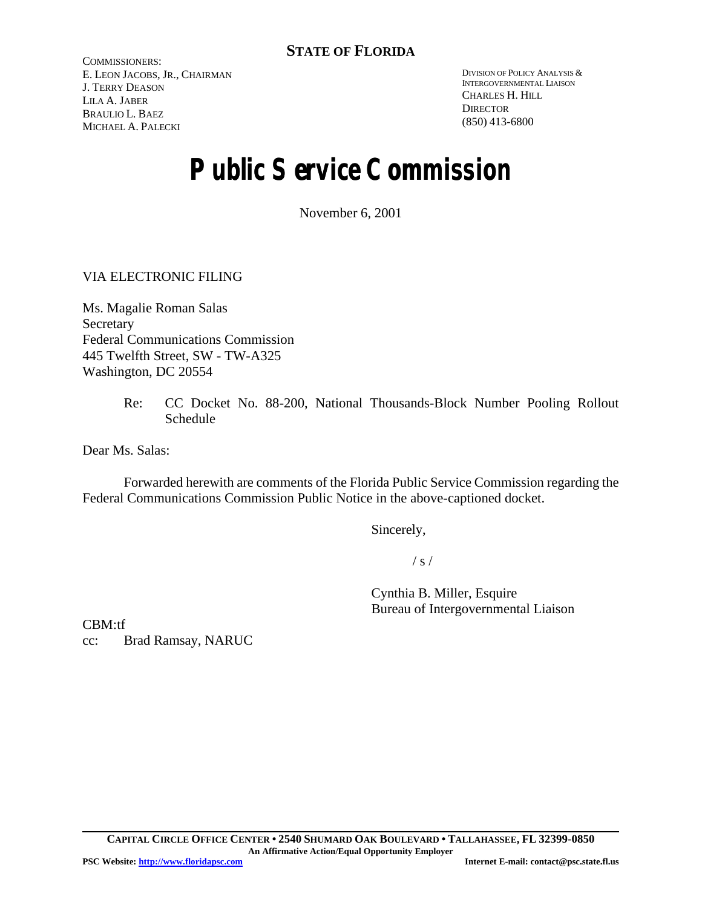COMMISSIONERS: E. LEON JACOBS, JR., CHAIRMAN J. TERRY DEASON LILA A. JABER BRAULIO L. BAEZ MICHAEL A. PALECKI

DIVISION OF POLICY ANALYSIS & INTERGOVERNMENTAL LIAISON CHARLES H. HILL **DIRECTOR** (850) 413-6800

# **Public Service Commission**

November 6, 2001

VIA ELECTRONIC FILING

Ms. Magalie Roman Salas Secretary Federal Communications Commission 445 Twelfth Street, SW - TW-A325 Washington, DC 20554

> Re: CC Docket No. 88-200, National Thousands-Block Number Pooling Rollout Schedule

Dear Ms. Salas:

Forwarded herewith are comments of the Florida Public Service Commission regarding the Federal Communications Commission Public Notice in the above-captioned docket.

Sincerely,

 $/ s /$ 

Cynthia B. Miller, Esquire Bureau of Intergovernmental Liaison

CBM:tf cc: Brad Ramsay, NARUC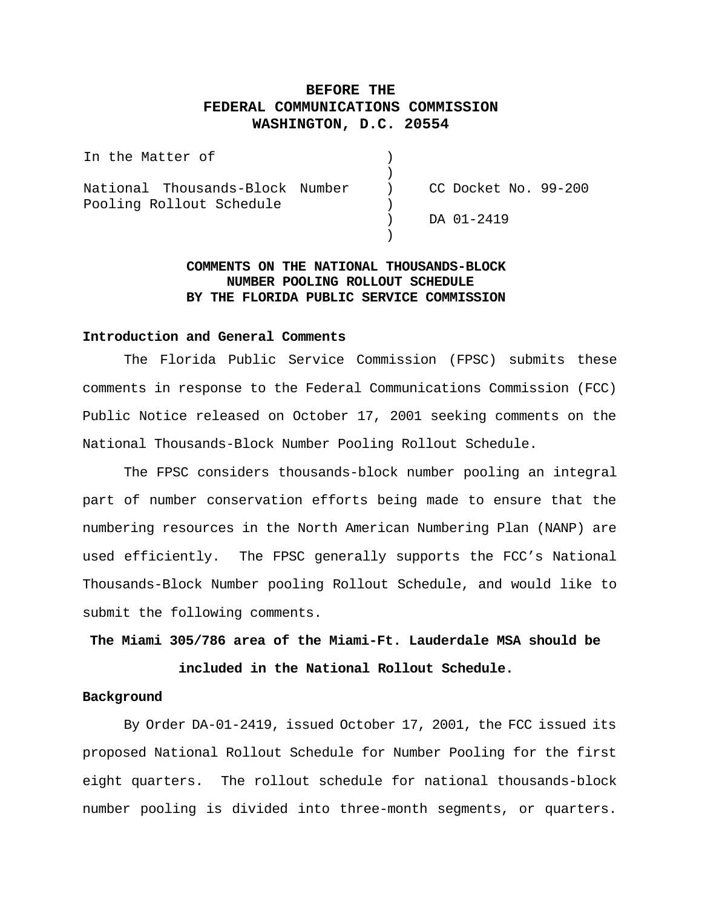## **BEFORE THE FEDERAL COMMUNICATIONS COMMISSION WASHINGTON, D.C. 20554**

| In the Matter of                                                                   |                  |
|------------------------------------------------------------------------------------|------------------|
| National Thousands-Block Number ) CC Docket No. 99-200<br>Pooling Rollout Schedule |                  |
|                                                                                    | $)$ DA $01-2419$ |

## **COMMENTS ON THE NATIONAL THOUSANDS-BLOCK NUMBER POOLING ROLLOUT SCHEDULE BY THE FLORIDA PUBLIC SERVICE COMMISSION**

#### **Introduction and General Comments**

The Florida Public Service Commission (FPSC) submits these comments in response to the Federal Communications Commission (FCC) Public Notice released on October 17, 2001 seeking comments on the National Thousands-Block Number Pooling Rollout Schedule.

The FPSC considers thousands-block number pooling an integral part of number conservation efforts being made to ensure that the numbering resources in the North American Numbering Plan (NANP) are used efficiently. The FPSC generally supports the FCC's National Thousands-Block Number pooling Rollout Schedule, and would like to submit the following comments.

**The Miami 305/786 area of the Miami-Ft. Lauderdale MSA should be included in the National Rollout Schedule.** 

#### **Background**

By Order DA-01-2419, issued October 17, 2001, the FCC issued its proposed National Rollout Schedule for Number Pooling for the first eight quarters. The rollout schedule for national thousands-block number pooling is divided into three-month segments, or quarters.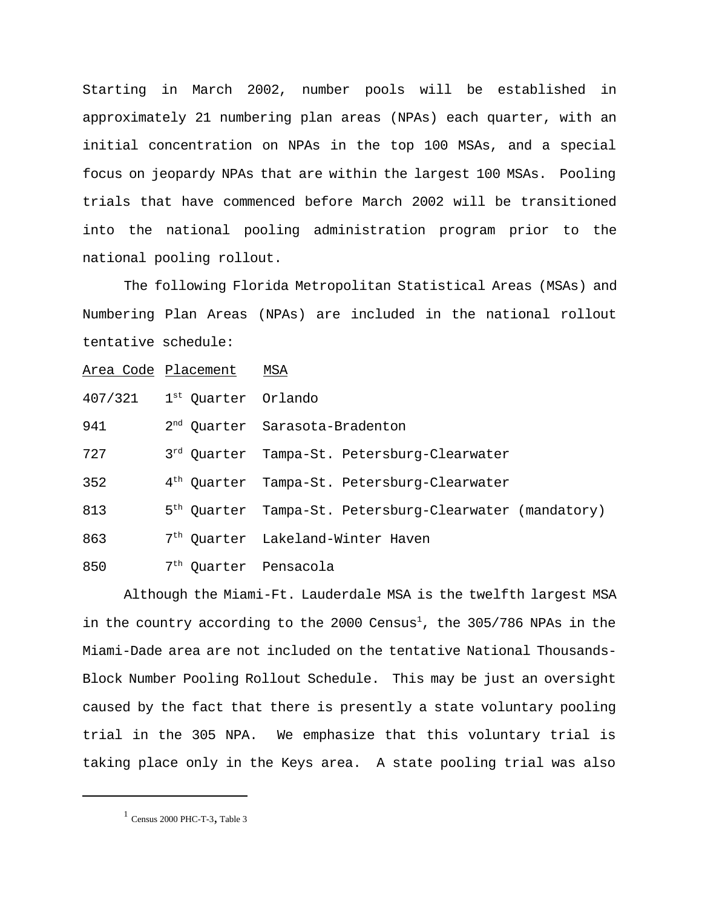Starting in March 2002, number pools will be established in approximately 21 numbering plan areas (NPAs) each quarter, with an initial concentration on NPAs in the top 100 MSAs, and a special focus on jeopardy NPAs that are within the largest 100 MSAs. Pooling trials that have commenced before March 2002 will be transitioned into the national pooling administration program prior to the national pooling rollout.

The following Florida Metropolitan Statistical Areas (MSAs) and Numbering Plan Areas (NPAs) are included in the national rollout tentative schedule:

|         | Area Code Placement MSA           |                                                                     |
|---------|-----------------------------------|---------------------------------------------------------------------|
| 407/321 | 1 <sup>st</sup> Quarter Orlando   |                                                                     |
| 941     |                                   | 2 <sup>nd</sup> Quarter Sarasota-Bradenton                          |
| 727     |                                   | 3rd Ouarter Tampa-St. Petersburg-Clearwater                         |
| 352     |                                   | 4 <sup>th</sup> Quarter Tampa-St. Petersburg-Clearwater             |
| 813     |                                   | 5 <sup>th</sup> Quarter Tampa-St. Petersburg-Clearwater (mandatory) |
| 863     |                                   | 7 <sup>th</sup> Ouarter Lakeland-Winter Haven                       |
| 850     | 7 <sup>th</sup> Quarter Pensacola |                                                                     |

Although the Miami-Ft. Lauderdale MSA is the twelfth largest MSA in the country according to the 2000 Census<sup>1</sup>, the 305/786 NPAs in the Miami-Dade area are not included on the tentative National Thousands-Block Number Pooling Rollout Schedule. This may be just an oversight caused by the fact that there is presently a state voluntary pooling trial in the 305 NPA. We emphasize that this voluntary trial is taking place only in the Keys area. A state pooling trial was also

 $1$  Census 2000 PHC-T-3, Table 3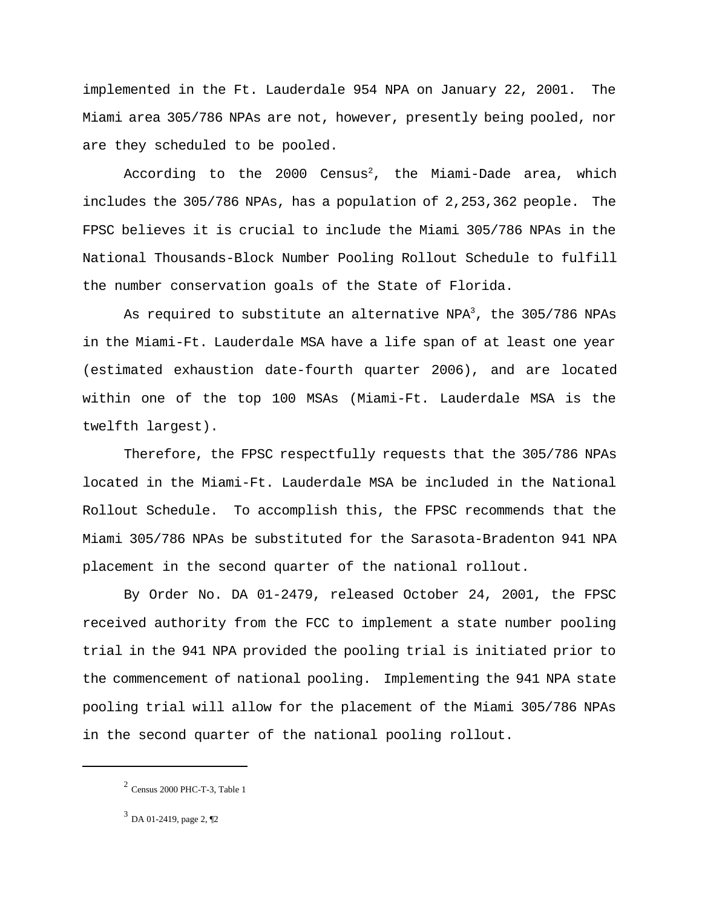implemented in the Ft. Lauderdale 954 NPA on January 22, 2001. The Miami area 305/786 NPAs are not, however, presently being pooled, nor are they scheduled to be pooled.

According to the 2000 Census<sup>2</sup>, the Miami-Dade area, which includes the 305/786 NPAs, has a population of 2,253,362 people. The FPSC believes it is crucial to include the Miami 305/786 NPAs in the National Thousands-Block Number Pooling Rollout Schedule to fulfill the number conservation goals of the State of Florida.

As required to substitute an alternative NPA<sup>3</sup>, the  $305/786$  NPAs in the Miami-Ft. Lauderdale MSA have a life span of at least one year (estimated exhaustion date-fourth quarter 2006), and are located within one of the top 100 MSAs (Miami-Ft. Lauderdale MSA is the twelfth largest).

Therefore, the FPSC respectfully requests that the 305/786 NPAs located in the Miami-Ft. Lauderdale MSA be included in the National Rollout Schedule. To accomplish this, the FPSC recommends that the Miami 305/786 NPAs be substituted for the Sarasota-Bradenton 941 NPA placement in the second quarter of the national rollout.

By Order No. DA 01-2479, released October 24, 2001, the FPSC received authority from the FCC to implement a state number pooling trial in the 941 NPA provided the pooling trial is initiated prior to the commencement of national pooling. Implementing the 941 NPA state pooling trial will allow for the placement of the Miami 305/786 NPAs in the second quarter of the national pooling rollout.

 $2$  Census 2000 PHC-T-3, Table 1

<sup>3</sup> DA 01-2419, page 2, ¶2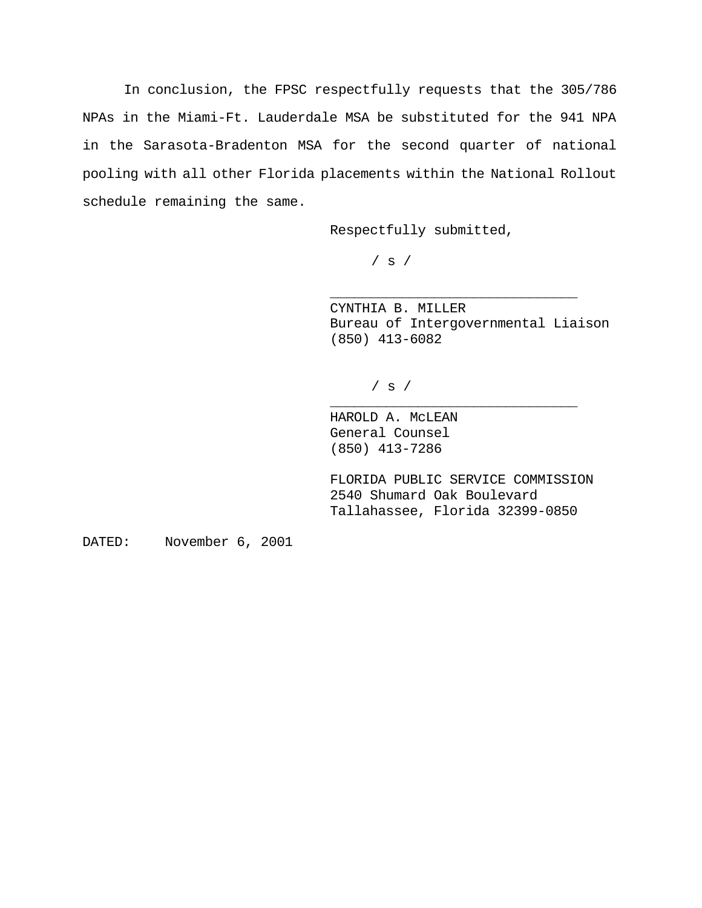In conclusion, the FPSC respectfully requests that the 305/786 NPAs in the Miami-Ft. Lauderdale MSA be substituted for the 941 NPA in the Sarasota-Bradenton MSA for the second quarter of national pooling with all other Florida placements within the National Rollout schedule remaining the same.

Respectfully submitted,

/ s /

CYNTHIA B. MILLER Bureau of Intergovernmental Liaison (850) 413-6082

\_\_\_\_\_\_\_\_\_\_\_\_\_\_\_\_\_\_\_\_\_\_\_\_\_\_\_\_\_\_\_

\_\_\_\_\_\_\_\_\_\_\_\_\_\_\_\_\_\_\_\_\_\_\_\_\_\_\_\_\_\_\_

 $/$  s  $/$ 

HAROLD A. McLEAN General Counsel (850) 413-7286

FLORIDA PUBLIC SERVICE COMMISSION 2540 Shumard Oak Boulevard Tallahassee, Florida 32399-0850

DATED: November 6, 2001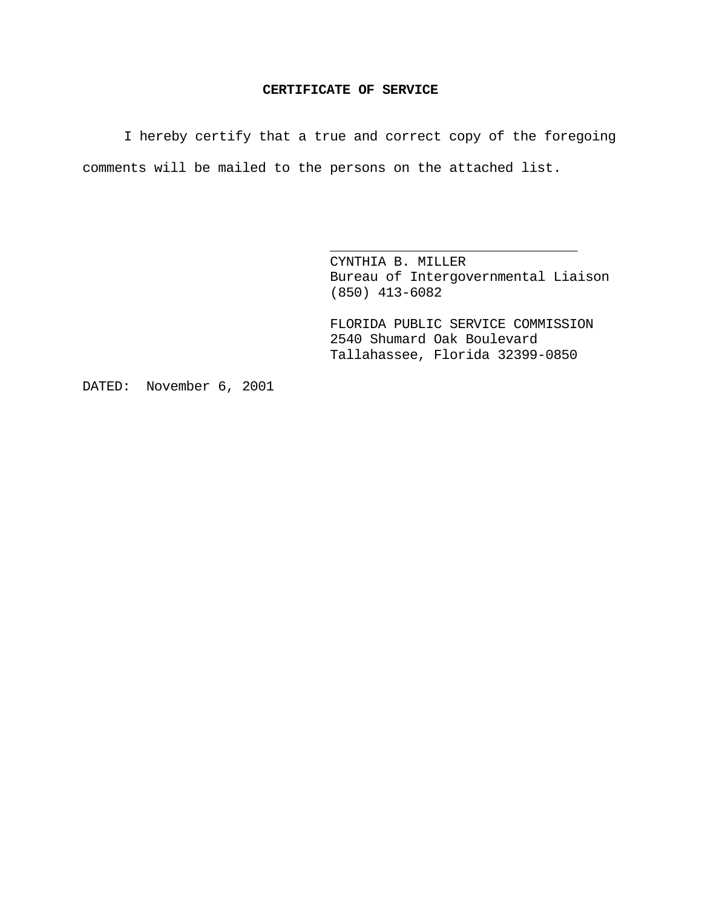### **CERTIFICATE OF SERVICE**

I hereby certify that a true and correct copy of the foregoing comments will be mailed to the persons on the attached list.

> CYNTHIA B. MILLER Bureau of Intergovernmental Liaison (850) 413-6082

\_\_\_\_\_\_\_\_\_\_\_\_\_\_\_\_\_\_\_\_\_\_\_\_\_\_\_\_\_\_\_

FLORIDA PUBLIC SERVICE COMMISSION 2540 Shumard Oak Boulevard Tallahassee, Florida 32399-0850

DATED: November 6, 2001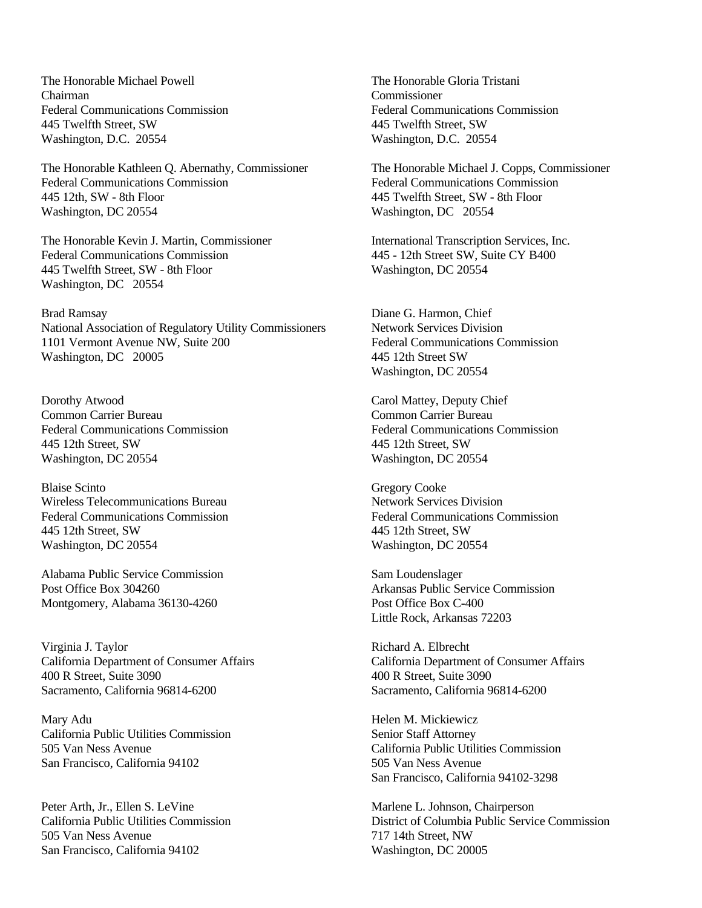The Honorable Michael Powell Chairman Federal Communications Commission 445 Twelfth Street, SW Washington, D.C. 20554

The Honorable Kathleen Q. Abernathy, Commissioner Federal Communications Commission 445 12th, SW - 8th Floor Washington, DC 20554

The Honorable Kevin J. Martin, Commissioner Federal Communications Commission 445 Twelfth Street, SW - 8th Floor Washington, DC 20554

Brad Ramsay National Association of Regulatory Utility Commissioners 1101 Vermont Avenue NW, Suite 200 Washington, DC 20005

Dorothy Atwood Common Carrier Bureau Federal Communications Commission 445 12th Street, SW Washington, DC 20554

Blaise Scinto Wireless Telecommunications Bureau Federal Communications Commission 445 12th Street, SW Washington, DC 20554

Alabama Public Service Commission Post Office Box 304260 Montgomery, Alabama 36130-4260

Virginia J. Taylor California Department of Consumer Affairs 400 R Street, Suite 3090 Sacramento, California 96814-6200

Mary Adu California Public Utilities Commission 505 Van Ness Avenue San Francisco, California 94102

Peter Arth, Jr., Ellen S. LeVine California Public Utilities Commission 505 Van Ness Avenue San Francisco, California 94102

The Honorable Gloria Tristani Commissioner Federal Communications Commission 445 Twelfth Street, SW Washington, D.C. 20554

The Honorable Michael J. Copps, Commissioner Federal Communications Commission 445 Twelfth Street, SW - 8th Floor Washington, DC 20554

International Transcription Services, Inc. 445 - 12th Street SW, Suite CY B400 Washington, DC 20554

Diane G. Harmon, Chief Network Services Division Federal Communications Commission 445 12th Street SW Washington, DC 20554

Carol Mattey, Deputy Chief Common Carrier Bureau Federal Communications Commission 445 12th Street, SW Washington, DC 20554

Gregory Cooke Network Services Division Federal Communications Commission 445 12th Street, SW Washington, DC 20554

Sam Loudenslager Arkansas Public Service Commission Post Office Box C-400 Little Rock, Arkansas 72203

Richard A. Elbrecht California Department of Consumer Affairs 400 R Street, Suite 3090 Sacramento, California 96814-6200

Helen M. Mickiewicz Senior Staff Attorney California Public Utilities Commission 505 Van Ness Avenue San Francisco, California 94102-3298

Marlene L. Johnson, Chairperson District of Columbia Public Service Commission 717 14th Street, NW Washington, DC 20005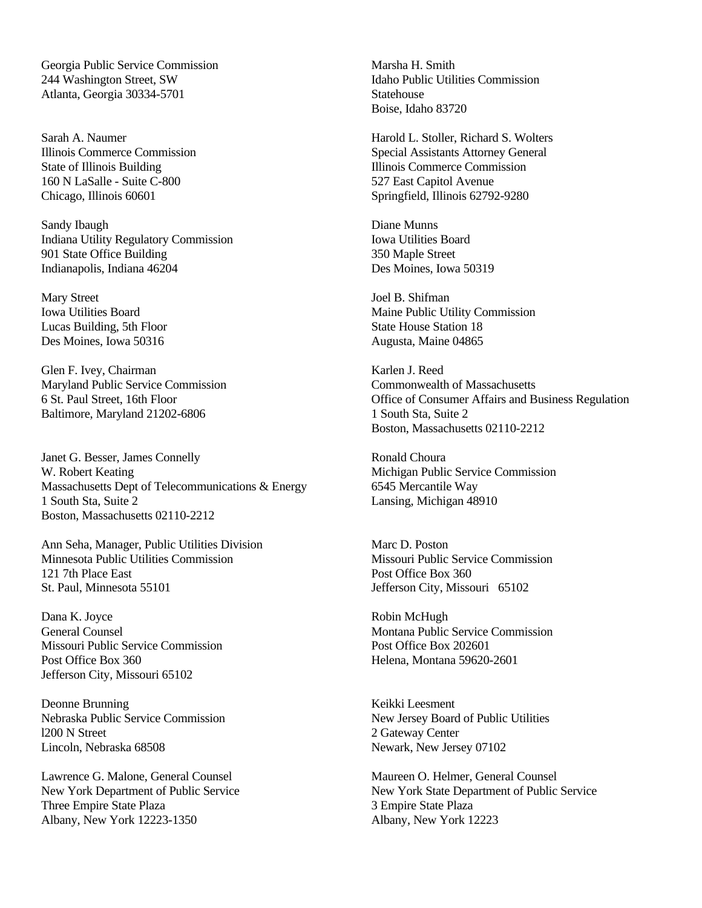Georgia Public Service Commission 244 Washington Street, SW Atlanta, Georgia 30334-5701

Sarah A. Naumer Illinois Commerce Commission State of Illinois Building 160 N LaSalle - Suite C-800 Chicago, Illinois 60601

Sandy Ibaugh Indiana Utility Regulatory Commission 901 State Office Building Indianapolis, Indiana 46204

Mary Street Iowa Utilities Board Lucas Building, 5th Floor Des Moines, Iowa 50316

Glen F. Ivey, Chairman Maryland Public Service Commission 6 St. Paul Street, 16th Floor Baltimore, Maryland 21202-6806

Janet G. Besser, James Connelly W. Robert Keating Massachusetts Dept of Telecommunications & Energy 1 South Sta, Suite 2 Boston, Massachusetts 02110-2212

Ann Seha, Manager, Public Utilities Division Minnesota Public Utilities Commission 121 7th Place East St. Paul, Minnesota 55101

Dana K. Joyce General Counsel Missouri Public Service Commission Post Office Box 360 Jefferson City, Missouri 65102

Deonne Brunning Nebraska Public Service Commission l200 N Street Lincoln, Nebraska 68508

Lawrence G. Malone, General Counsel New York Department of Public Service Three Empire State Plaza Albany, New York 12223-1350

Marsha H. Smith Idaho Public Utilities Commission Statehouse Boise, Idaho 83720

Harold L. Stoller, Richard S. Wolters Special Assistants Attorney General Illinois Commerce Commission 527 East Capitol Avenue Springfield, Illinois 62792-9280

Diane Munns Iowa Utilities Board 350 Maple Street Des Moines, Iowa 50319

Joel B. Shifman Maine Public Utility Commission State House Station 18 Augusta, Maine 04865

Karlen J. Reed Commonwealth of Massachusetts Office of Consumer Affairs and Business Regulation 1 South Sta, Suite 2 Boston, Massachusetts 02110-2212

Ronald Choura Michigan Public Service Commission 6545 Mercantile Way Lansing, Michigan 48910

Marc D. Poston Missouri Public Service Commission Post Office Box 360 Jefferson City, Missouri 65102

Robin McHugh Montana Public Service Commission Post Office Box 202601 Helena, Montana 59620-2601

Keikki Leesment New Jersey Board of Public Utilities 2 Gateway Center Newark, New Jersey 07102

Maureen O. Helmer, General Counsel New York State Department of Public Service 3 Empire State Plaza Albany, New York 12223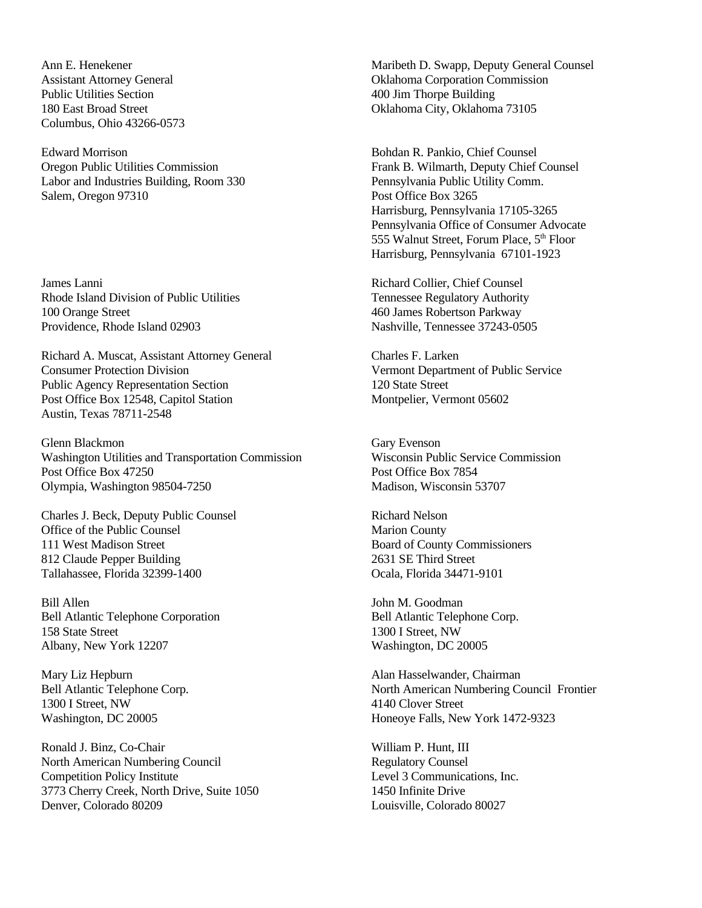Ann E. Henekener Assistant Attorney General Public Utilities Section 180 East Broad Street Columbus, Ohio 43266-0573

Edward Morrison Oregon Public Utilities Commission Labor and Industries Building, Room 330 Salem, Oregon 97310

James Lanni Rhode Island Division of Public Utilities 100 Orange Street Providence, Rhode Island 02903

Richard A. Muscat, Assistant Attorney General Consumer Protection Division Public Agency Representation Section Post Office Box 12548, Capitol Station Austin, Texas 78711-2548

Glenn Blackmon Washington Utilities and Transportation Commission Post Office Box 47250 Olympia, Washington 98504-7250

Charles J. Beck, Deputy Public Counsel Office of the Public Counsel 111 West Madison Street 812 Claude Pepper Building Tallahassee, Florida 32399-1400

Bill Allen Bell Atlantic Telephone Corporation 158 State Street Albany, New York 12207

Mary Liz Hepburn Bell Atlantic Telephone Corp. 1300 I Street, NW Washington, DC 20005

Ronald J. Binz, Co-Chair North American Numbering Council Competition Policy Institute 3773 Cherry Creek, North Drive, Suite 1050 Denver, Colorado 80209

Maribeth D. Swapp, Deputy General Counsel Oklahoma Corporation Commission 400 Jim Thorpe Building Oklahoma City, Oklahoma 73105

Bohdan R. Pankio, Chief Counsel Frank B. Wilmarth, Deputy Chief Counsel Pennsylvania Public Utility Comm. Post Office Box 3265 Harrisburg, Pennsylvania 17105-3265 Pennsylvania Office of Consumer Advocate 555 Walnut Street, Forum Place, 5<sup>th</sup> Floor Harrisburg, Pennsylvania 67101-1923

Richard Collier, Chief Counsel Tennessee Regulatory Authority 460 James Robertson Parkway Nashville, Tennessee 37243-0505

Charles F. Larken Vermont Department of Public Service 120 State Street Montpelier, Vermont 05602

Gary Evenson Wisconsin Public Service Commission Post Office Box 7854 Madison, Wisconsin 53707

Richard Nelson Marion County Board of County Commissioners 2631 SE Third Street Ocala, Florida 34471-9101

John M. Goodman Bell Atlantic Telephone Corp. 1300 I Street, NW Washington, DC 20005

Alan Hasselwander, Chairman North American Numbering Council Frontier 4140 Clover Street Honeoye Falls, New York 1472-9323

William P. Hunt, III Regulatory Counsel Level 3 Communications, Inc. 1450 Infinite Drive Louisville, Colorado 80027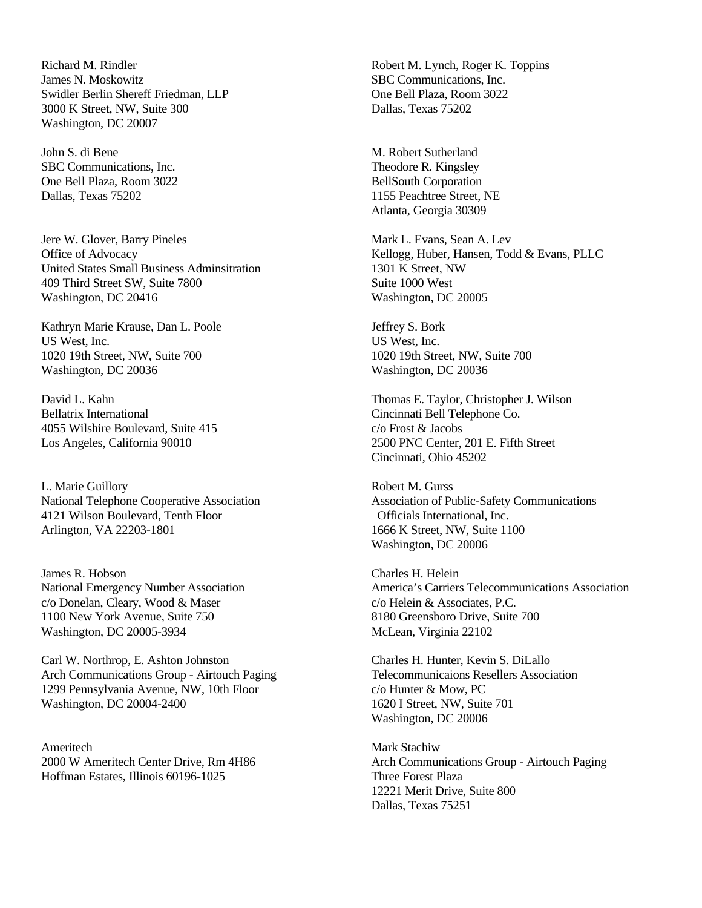Richard M. Rindler James N. Moskowitz Swidler Berlin Shereff Friedman, LLP 3000 K Street, NW, Suite 300 Washington, DC 20007

John S. di Bene SBC Communications, Inc. One Bell Plaza, Room 3022 Dallas, Texas 75202

Jere W. Glover, Barry Pineles Office of Advocacy United States Small Business Adminsitration 409 Third Street SW, Suite 7800 Washington, DC 20416

Kathryn Marie Krause, Dan L. Poole US West, Inc. 1020 19th Street, NW, Suite 700 Washington, DC 20036

David L. Kahn Bellatrix International 4055 Wilshire Boulevard, Suite 415 Los Angeles, California 90010

L. Marie Guillory National Telephone Cooperative Association 4121 Wilson Boulevard, Tenth Floor Arlington, VA 22203-1801

James R. Hobson National Emergency Number Association c/o Donelan, Cleary, Wood & Maser 1100 New York Avenue, Suite 750 Washington, DC 20005-3934

Carl W. Northrop, E. Ashton Johnston Arch Communications Group - Airtouch Paging 1299 Pennsylvania Avenue, NW, 10th Floor Washington, DC 20004-2400

Ameritech 2000 W Ameritech Center Drive, Rm 4H86 Hoffman Estates, Illinois 60196-1025

Robert M. Lynch, Roger K. Toppins SBC Communications, Inc. One Bell Plaza, Room 3022 Dallas, Texas 75202

M. Robert Sutherland Theodore R. Kingsley BellSouth Corporation 1155 Peachtree Street, NE Atlanta, Georgia 30309

Mark L. Evans, Sean A. Lev Kellogg, Huber, Hansen, Todd & Evans, PLLC 1301 K Street, NW Suite 1000 West Washington, DC 20005

Jeffrey S. Bork US West, Inc. 1020 19th Street, NW, Suite 700 Washington, DC 20036

Thomas E. Taylor, Christopher J. Wilson Cincinnati Bell Telephone Co. c/o Frost & Jacobs 2500 PNC Center, 201 E. Fifth Street Cincinnati, Ohio 45202

Robert M. Gurss Association of Public-Safety Communications Officials International, Inc. 1666 K Street, NW, Suite 1100 Washington, DC 20006

Charles H. Helein America's Carriers Telecommunications Association c/o Helein & Associates, P.C. 8180 Greensboro Drive, Suite 700 McLean, Virginia 22102

Charles H. Hunter, Kevin S. DiLallo Telecommunicaions Resellers Association c/o Hunter & Mow, PC 1620 I Street, NW, Suite 701 Washington, DC 20006

Mark Stachiw Arch Communications Group - Airtouch Paging Three Forest Plaza 12221 Merit Drive, Suite 800 Dallas, Texas 75251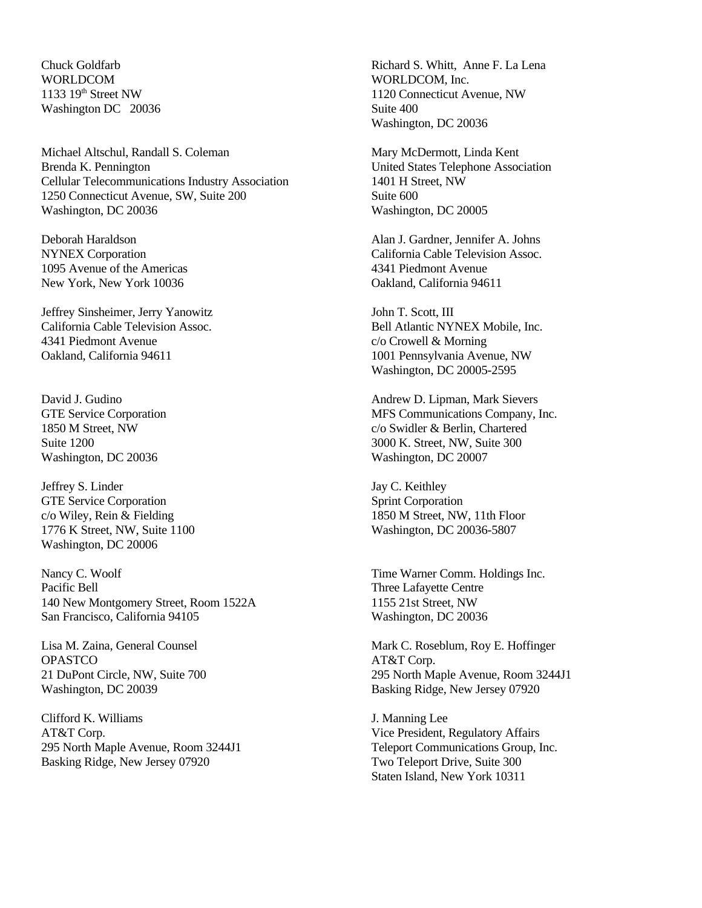Chuck Goldfarb WORLDCOM 1133 19<sup>th</sup> Street NW Washington DC 20036

Michael Altschul, Randall S. Coleman Brenda K. Pennington Cellular Telecommunications Industry Association 1250 Connecticut Avenue, SW, Suite 200 Washington, DC 20036

Deborah Haraldson NYNEX Corporation 1095 Avenue of the Americas New York, New York 10036

Jeffrey Sinsheimer, Jerry Yanowitz California Cable Television Assoc. 4341 Piedmont Avenue Oakland, California 94611

David J. Gudino GTE Service Corporation 1850 M Street, NW Suite 1200 Washington, DC 20036

Jeffrey S. Linder GTE Service Corporation c/o Wiley, Rein & Fielding 1776 K Street, NW, Suite 1100 Washington, DC 20006

Nancy C. Woolf Pacific Bell 140 New Montgomery Street, Room 1522A San Francisco, California 94105

Lisa M. Zaina, General Counsel **OPASTCO** 21 DuPont Circle, NW, Suite 700 Washington, DC 20039

Clifford K. Williams AT&T Corp. 295 North Maple Avenue, Room 3244J1 Basking Ridge, New Jersey 07920

Richard S. Whitt, Anne F. La Lena WORLDCOM, Inc. 1120 Connecticut Avenue, NW Suite 400 Washington, DC 20036

Mary McDermott, Linda Kent United States Telephone Association 1401 H Street, NW Suite 600 Washington, DC 20005

Alan J. Gardner, Jennifer A. Johns California Cable Television Assoc. 4341 Piedmont Avenue Oakland, California 94611

John T. Scott, III Bell Atlantic NYNEX Mobile, Inc. c/o Crowell & Morning 1001 Pennsylvania Avenue, NW Washington, DC 20005-2595

Andrew D. Lipman, Mark Sievers MFS Communications Company, Inc. c/o Swidler & Berlin, Chartered 3000 K. Street, NW, Suite 300 Washington, DC 20007

Jay C. Keithley Sprint Corporation 1850 M Street, NW, 11th Floor Washington, DC 20036-5807

Time Warner Comm. Holdings Inc. Three Lafayette Centre 1155 21st Street, NW Washington, DC 20036

Mark C. Roseblum, Roy E. Hoffinger AT&T Corp. 295 North Maple Avenue, Room 3244J1 Basking Ridge, New Jersey 07920

J. Manning Lee Vice President, Regulatory Affairs Teleport Communications Group, Inc. Two Teleport Drive, Suite 300 Staten Island, New York 10311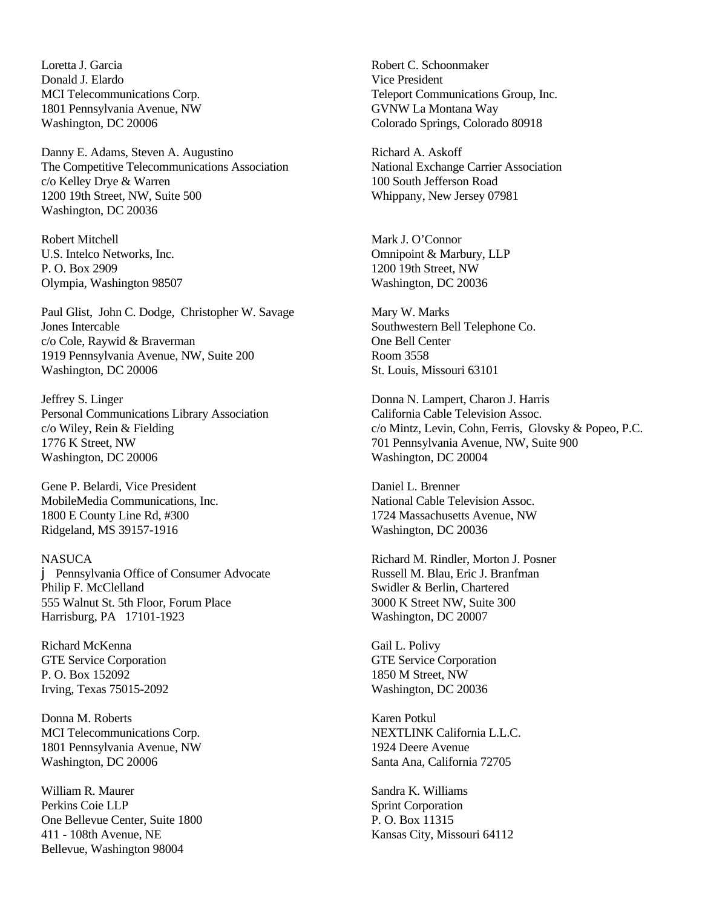Loretta J. Garcia Donald J. Elardo MCI Telecommunications Corp. 1801 Pennsylvania Avenue, NW Washington, DC 20006

Danny E. Adams, Steven A. Augustino The Competitive Telecommunications Association c/o Kelley Drye & Warren 1200 19th Street, NW, Suite 500 Washington, DC 20036

Robert Mitchell U.S. Intelco Networks, Inc. P. O. Box 2909 Olympia, Washington 98507

Paul Glist, John C. Dodge, Christopher W. Savage Jones Intercable c/o Cole, Raywid & Braverman 1919 Pennsylvania Avenue, NW, Suite 200 Washington, DC 20006

Jeffrey S. Linger Personal Communications Library Association c/o Wiley, Rein & Fielding 1776 K Street, NW Washington, DC 20006

Gene P. Belardi, Vice President MobileMedia Communications, Inc. 1800 E County Line Rd, #300 Ridgeland, MS 39157-1916

NASUCA j Pennsylvania Office of Consumer Advocate Philip F. McClelland 555 Walnut St. 5th Floor, Forum Place Harrisburg, PA 17101-1923

Richard McKenna GTE Service Corporation P. O. Box 152092 Irving, Texas 75015-2092

Donna M. Roberts MCI Telecommunications Corp. 1801 Pennsylvania Avenue, NW Washington, DC 20006

William R. Maurer Perkins Coie LLP One Bellevue Center, Suite 1800 411 - 108th Avenue, NE Bellevue, Washington 98004

Robert C. Schoonmaker Vice President Teleport Communications Group, Inc. GVNW La Montana Way Colorado Springs, Colorado 80918

Richard A. Askoff National Exchange Carrier Association 100 South Jefferson Road Whippany, New Jersey 07981

Mark J. O'Connor Omnipoint & Marbury, LLP 1200 19th Street, NW Washington, DC 20036

Mary W. Marks Southwestern Bell Telephone Co. One Bell Center Room 3558 St. Louis, Missouri 63101

Donna N. Lampert, Charon J. Harris California Cable Television Assoc. c/o Mintz, Levin, Cohn, Ferris, Glovsky & Popeo, P.C. 701 Pennsylvania Avenue, NW, Suite 900 Washington, DC 20004

Daniel L. Brenner National Cable Television Assoc. 1724 Massachusetts Avenue, NW Washington, DC 20036

Richard M. Rindler, Morton J. Posner Russell M. Blau, Eric J. Branfman Swidler & Berlin, Chartered 3000 K Street NW, Suite 300 Washington, DC 20007

Gail L. Polivy GTE Service Corporation 1850 M Street, NW Washington, DC 20036

Karen Potkul NEXTLINK California L.L.C. 1924 Deere Avenue Santa Ana, California 72705

Sandra K. Williams Sprint Corporation P. O. Box 11315 Kansas City, Missouri 64112